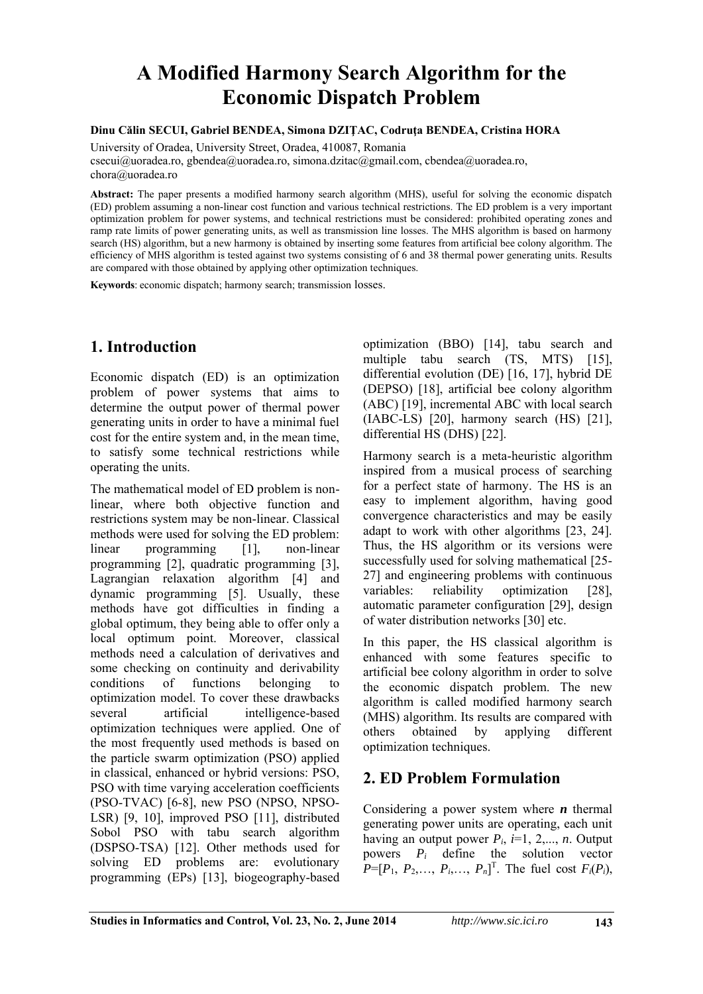# **A Modified Harmony Search Algorithm for the Economic Dispatch Problem**

#### **Dinu Călin SECUI, Gabriel BENDEA, Simona DZIŢAC, Codruţa BENDEA, Cristina HORA**

University of Oradea, University Street, Oradea, 410087, Romania csecui@uoradea.ro, gbendea@uoradea.ro, simona.dzitac@gmail.com, cbendea@uoradea.ro, chora@uoradea.ro

**Abstract:** The paper presents a modified harmony search algorithm (MHS), useful for solving the economic dispatch (ED) problem assuming a non-linear cost function and various technical restrictions. The ED problem is a very important optimization problem for power systems, and technical restrictions must be considered: prohibited operating zones and ramp rate limits of power generating units, as well as transmission line losses. The MHS algorithm is based on harmony search (HS) algorithm, but a new harmony is obtained by inserting some features from artificial bee colony algorithm. The efficiency of MHS algorithm is tested against two systems consisting of 6 and 38 thermal power generating units. Results are compared with those obtained by applying other optimization techniques.

**Keywords**: economic dispatch; harmony search; transmission losses.

# **1. Introduction**

Economic dispatch (ED) is an optimization problem of power systems that aims to determine the output power of thermal power generating units in order to have a minimal fuel cost for the entire system and, in the mean time, to satisfy some technical restrictions while operating the units.

The mathematical model of ED problem is nonlinear, where both objective function and restrictions system may be non-linear. Classical methods were used for solving the ED problem: linear programming [1], non-linear programming [2], quadratic programming [3], Lagrangian relaxation algorithm [4] and dynamic programming [5]. Usually, these methods have got difficulties in finding a global optimum, they being able to offer only a local optimum point. Moreover, classical methods need a calculation of derivatives and some checking on continuity and derivability conditions of functions belonging to optimization model. To cover these drawbacks several artificial intelligence-based optimization techniques were applied. One of the most frequently used methods is based on the particle swarm optimization (PSO) applied in classical, enhanced or hybrid versions: PSO, PSO with time varying acceleration coefficients (PSO-TVAC) [6-8], new PSO (NPSO, NPSO-LSR) [9, 10], improved PSO [11], distributed Sobol PSO with tabu search algorithm (DSPSO-TSA) [12]. Other methods used for solving ED problems are: evolutionary programming (EPs) [13], biogeography-based

optimization (BBO) [14], tabu search and multiple tabu search (TS, MTS) [15], differential evolution (DE) [16, 17], hybrid DE (DEPSO) [18], artificial bee colony algorithm (ABC) [19], incremental ABC with local search (IABC-LS) [20], harmony search (HS) [21], differential HS (DHS) [22].

Harmony search is a meta-heuristic algorithm inspired from a musical process of searching for a perfect state of harmony. The HS is an easy to implement algorithm, having good convergence characteristics and may be easily adapt to work with other algorithms [23, 24]. Thus, the HS algorithm or its versions were successfully used for solving mathematical [25- 27] and engineering problems with continuous variables: reliability optimization [28], automatic parameter configuration [29], design of water distribution networks [30] etc.

In this paper, the HS classical algorithm is enhanced with some features specific to artificial bee colony algorithm in order to solve the economic dispatch problem. The new algorithm is called modified harmony search (MHS) algorithm. Its results are compared with others obtained by applying different optimization techniques.

# **2. ED Problem Formulation**

Considering a power system where *n* thermal generating power units are operating, each unit having an output power  $P_i$ ,  $i=1, 2,..., n$ . Output powers *Pi* define the solution vector  $P=[P_1, P_2, \ldots, P_i, \ldots, P_n]$ <sup>T</sup>. The fuel cost  $F_i(P_i)$ ,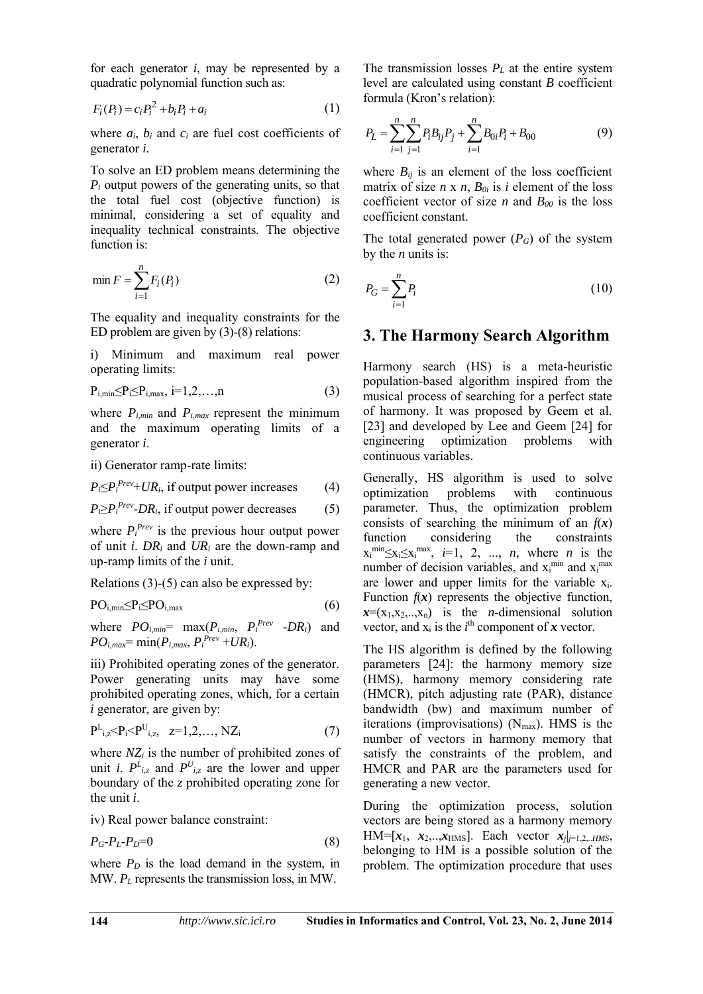for each generator *i*, may be represented by a quadratic polynomial function such as:

$$
F_i(P_i) = c_i P_i^2 + b_i P_i + a_i \tag{1}
$$

where  $a_i$ ,  $b_i$  and  $c_i$  are fuel cost coefficients of generator *i.*

To solve an ED problem means determining the *Pi* output powers of the generating units, so that the total fuel cost (objective function) is minimal, considering a set of equality and inequality technical constraints. The objective function is:

$$
\min F = \sum_{i=1}^{n} F_i(P_i) \tag{2}
$$

The equality and inequality constraints for the ED problem are given by (3)-(8) relations:

i) Minimum and maximum real power operating limits:

$$
P_{i,min} \leq P_i \leq P_{i,max}, i=1,2,\ldots,n
$$
 (3)

where  $P_{i,min}$  and  $P_{i,max}$  represent the minimum and the maximum operating limits of a generator *i*.

ii) Generator ramp-rate limits:

$$
P_i \leq P_i^{\text{Prev}} + \text{UR}_i
$$
, if output power increases (4)

 $P_i \geq P_i^{Prev}$ -*DR<sub>i</sub>*, if output power decreases (5)

where  $P_i^{Prev}$  is the previous hour output power of unit *i*. *DRi* and *URi* are the down-ramp and up-ramp limits of the *i* unit.

Relations (3)-(5) can also be expressed by:

$$
PO_{i,min} \leq P_i \leq PO_{i,max} \tag{6}
$$

where 
$$
PO_{i,min}
$$
 = max $(P_{i,min}, P_i^{Prev} - DR_i)$  and  $PO_{i,max}$  = min $(P_{i,max}, P_i^{Prev} + UR_i)$ .

iii) Prohibited operating zones of the generator. Power generating units may have some prohibited operating zones, which, for a certain *i* generator, are given by:

$$
P^{L}_{i,z} < P_{i} < P^{U}_{i,z}, \quad z=1,2,..., NZ_{i}
$$
 (7)

where *NZi* is the number of prohibited zones of unit *i*.  $P^L_{i,z}$  and  $P^U_{i,z}$  are the lower and upper boundary of the *z* prohibited operating zone for the unit *i*.

iv) Real power balance constraint:

$$
P_G - P_L - P_D = 0 \tag{8}
$$

where  $P_D$  is the load demand in the system, in MW. *PL* represents the transmission loss, in MW.

The transmission losses *PL* at the entire system level are calculated using constant *B* coefficient formula (Kron's relation):

$$
P_L = \sum_{i=1}^{n} \sum_{j=1}^{n} P_i B_{ij} P_j + \sum_{i=1}^{n} B_{0i} P_i + B_{00}
$$
 (9)

where  $B_{ij}$  is an element of the loss coefficient matrix of size  $n \times n$ ,  $B_{0i}$  is *i* element of the loss coefficient vector of size *n* and  $B_{00}$  is the loss coefficient constant.

The total generated power  $(P_G)$  of the system by the *n* units is:

$$
P_G = \sum_{i=1}^{n} P_i \tag{10}
$$

#### **3. The Harmony Search Algorithm**

Harmony search (HS) is a meta-heuristic population-based algorithm inspired from the musical process of searching for a perfect state of harmony. It was proposed by Geem et al. [23] and developed by Lee and Geem [24] for engineering optimization problems with continuous variables.

Generally, HS algorithm is used to solve optimization problems with continuous parameter. Thus, the optimization problem consists of searching the minimum of an  $f(x)$ function considering the constraints  $x_i^{\min} \le x_i \le x_i^{\max}$ , *i*=1, 2, ..., *n*, where *n* is the number of decision variables, and  $x_i^{min}$  and  $x_i^{max}$ are lower and upper limits for the variable  $x_i$ . Function  $f(x)$  represents the objective function,  $x=(x_1,x_2,...,x_n)$  is the *n*-dimensional solution vector, and  $x_i$  is the  $i^{\text{th}}$  component of  $x$  vector.

The HS algorithm is defined by the following parameters [24]: the harmony memory size (HMS), harmony memory considering rate (HMCR), pitch adjusting rate (PAR), distance bandwidth (bw) and maximum number of iterations (improvisations) ( $N_{\text{max}}$ ). HMS is the number of vectors in harmony memory that satisfy the constraints of the problem, and HMCR and PAR are the parameters used for generating a new vector.

During the optimization process, solution vectors are being stored as a harmony memory HM= $[x_1, x_2, ... , x_{HMS}]$ . Each vector  $x_j|_{j=1,2...HMS}$ , belonging to HM is a possible solution of the problem. The optimization procedure that uses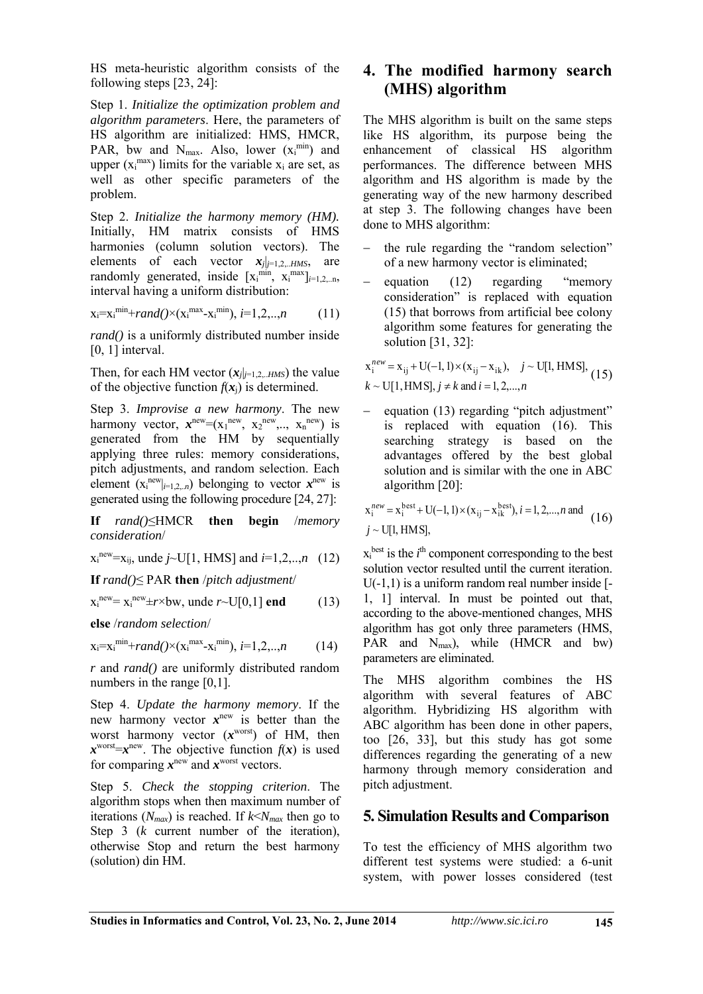HS meta-heuristic algorithm consists of the following steps [23, 24]:

Step 1. *Initialize the optimization problem and algorithm parameters*. Here, the parameters of HS algorithm are initialized: HMS, HMCR, PAR, bw and  $N_{max}$ . Also, lower  $(x_i^{min})$  and upper  $(x_i^{max})$  limits for the variable  $x_i$  are set, as well as other specific parameters of the problem.

Step 2. *Initialize the harmony memory (HM).* Initially, HM matrix consists of HMS harmonies (column solution vectors). The elements of each vector  $x_j|_{j=1,2...HMS}$ , are randomly generated, inside  $[x_i^{min}, x_i^{max}]_{i=1,2,...n}$ , interval having a uniform distribution:

$$
x_i = x_i^{\min} + rand()
$$
 ×  $(x_i^{\max} - x_i^{\min})$ ,  $i = 1, 2, ..., n$  (11)

*rand()* is a uniformly distributed number inside  $[0, 1]$  interval.

Then, for each HM vector  $(x_j|_{j=1,2...HMS})$  the value of the objective function  $f(x_i)$  is determined.

Step 3. *Improvise a new harmony*. The new harmony vector,  $x^{\text{new}} = (x_1^{\text{new}}, x_2^{\text{new}},..., x_n^{\text{new}})$  is generated from the HM by sequentially applying three rules: memory considerations, pitch adjustments, and random selection. Each element  $(x_i^{new}|_{i=1,2, n})$  belonging to vector  $x^{new}$  is generated using the following procedure [24, 27]:

**If** *rand()*≤HMCR **then begin** /*memory consideration*/

$$
x_i^{new} = x_{ij}
$$
, unde  $j \sim U[1, HMS]$  and  $i = 1, 2, ..., n$  (12)

**If** *rand()*≤ PAR **then** /*pitch adjustment*/

 $x_i^{new} = x_i^{new} \pm r \times bw$ , unde  $r \sim U[0,1]$  end (13)

**else** /*random selection*/

$$
x_i = x_i^{\min} + rand() \times (x_i^{\max} - x_i^{\min}), i = 1, 2, ..., n
$$
 (14)

*r* and *rand()* are uniformly distributed random numbers in the range [0,1].

Step 4. *Update the harmony memory*. If the new harmony vector  $x^{new}$  is better than the worst harmony vector (*x* worst) of HM, then  $x^{\text{worst}} = x^{\text{new}}$ . The objective function  $f(x)$  is used for comparing  $x^{new}$  and  $x^{worst}$  vectors.

Step 5. *Check the stopping criterion*. The algorithm stops when then maximum number of iterations  $(N_{max})$  is reached. If  $k < N_{max}$  then go to Step 3 (*k* current number of the iteration), otherwise Stop and return the best harmony (solution) din HM.

# **4. The modified harmony search (MHS) algorithm**

The MHS algorithm is built on the same steps like HS algorithm, its purpose being the enhancement of classical HS algorithm performances. The difference between MHS algorithm and HS algorithm is made by the generating way of the new harmony described at step 3. The following changes have been done to MHS algorithm:

- the rule regarding the "random selection" of a new harmony vector is eliminated;
- $\alpha$  equation (12) regarding "memory consideration" is replaced with equation (15) that borrows from artificial bee colony algorithm some features for generating the solution [31, 32]:

$$
x_i^{new} = x_{ij} + U(-1, 1) \times (x_{ij} - x_{ik}), \quad j \sim U[1, HMS],
$$
  

$$
k \sim U[1, HMS], j \neq k \text{ and } i = 1, 2, ..., n
$$
 (15)

 equation (13) regarding "pitch adjustment" is replaced with equation (16). This searching strategy is based on the advantages offered by the best global solution and is similar with the one in ABC algorithm [20]:

$$
x_i^{new} = x_i^{best} + U(-1, 1) \times (x_{ij} - x_{ik}^{best}), i = 1, 2, ..., n \text{ and}
$$
  
\n
$$
j \sim U[1, HMS],
$$
 (16)

 $x_i^{\text{best}}$  is the  $i^{\text{th}}$  component corresponding to the best solution vector resulted until the current iteration. U(-1,1) is a uniform random real number inside [- 1, 1] interval. In must be pointed out that, according to the above-mentioned changes, MHS algorithm has got only three parameters (HMS, PAR and N<sub>max</sub>), while (HMCR and bw) parameters are eliminated.

The MHS algorithm combines the HS algorithm with several features of ABC algorithm. Hybridizing HS algorithm with ABC algorithm has been done in other papers, too [26, 33], but this study has got some differences regarding the generating of a new harmony through memory consideration and pitch adjustment.

## **5. Simulation Results and Comparison**

To test the efficiency of MHS algorithm two different test systems were studied: a 6-unit system, with power losses considered (test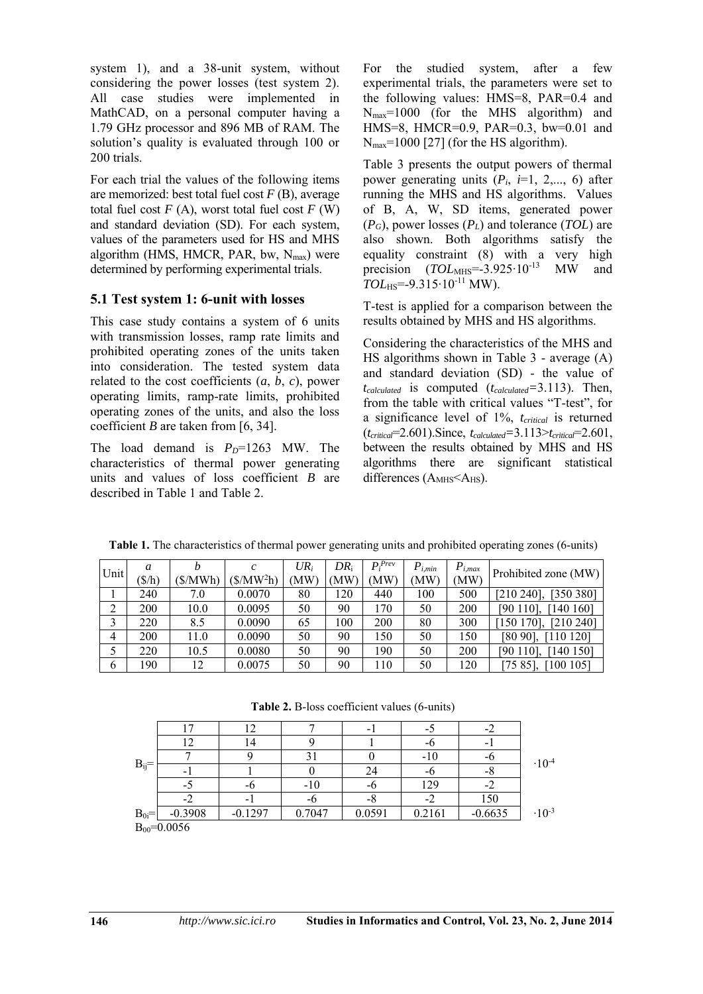system 1), and a 38-unit system, without considering the power losses (test system 2). All case studies were implemented in MathCAD, on a personal computer having a 1.79 GHz processor and 896 MB of RAM. The solution's quality is evaluated through 100 or 200 trials.

For each trial the values of the following items are memorized: best total fuel cost *F* (B), average total fuel cost  $F(A)$ , worst total fuel cost  $F(W)$ and standard deviation (SD). For each system, values of the parameters used for HS and MHS algorithm (HMS, HMCR, PAR, bw,  $N_{\text{max}}$ ) were determined by performing experimental trials.

### **5.1 Test system 1: 6-unit with losses**

This case study contains a system of 6 units with transmission losses, ramp rate limits and prohibited operating zones of the units taken into consideration. The tested system data related to the cost coefficients  $(a, b, c)$ , power operating limits, ramp-rate limits, prohibited operating zones of the units, and also the loss coefficient *B* are taken from [6, 34].

The load demand is  $P<sub>D</sub>=1263$  MW. The characteristics of thermal power generating units and values of loss coefficient *B* are described in Table 1 and Table 2.

For the studied system, after a few experimental trials, the parameters were set to the following values: HMS=8, PAR=0.4 and Nmax=1000 (for the MHS algorithm) and HMS=8, HMCR=0.9, PAR=0.3, bw=0.01 and  $N_{\text{max}}$ =1000 [27] (for the HS algorithm).

Table 3 presents the output powers of thermal power generating units  $(P_i, i=1, 2,..., 6)$  after running the MHS and HS algorithms. Values of B, A, W, SD items, generated power (*PG*), power losses (*PL*) and tolerance (*TOL*) are also shown. Both algorithms satisfy the equality constraint (8) with a very high precision (*TOL*<sub>MHS</sub>=-3.925⋅10<sup>-13</sup> MW and *TOL*HS=-9.315⋅10<sup>-11</sup> MW).

T-test is applied for a comparison between the results obtained by MHS and HS algorithms.

Considering the characteristics of the MHS and HS algorithms shown in Table 3 - average (A) and standard deviation (SD) - the value of *tcalculated* is computed (*tcalculated=*3.113). Then, from the table with critical values "T-test", for a significance level of 1%, *tcritical* is returned (*tcritical*=2.601).Since, *tcalculated=*3.113>*tcritical*=2.601, between the results obtained by MHS and HS algorithms there are significant statistical differences  $(A<sub>MHS</sub> < A<sub>HS</sub>)$ .

| Unit | a<br>$(\frac{\rho}{h})$ | h<br>(\$/MWh) | $(MW^2h)$ | $UR_i$<br>'MW | $DR_i$<br>'MW | $P_i^{Prev}$<br>'NW | $P_{i,min}$<br>'MW | $P_{i,max}$<br>MW) | Prohibited zone (MW)   |
|------|-------------------------|---------------|-----------|---------------|---------------|---------------------|--------------------|--------------------|------------------------|
|      | 240                     | 7.0           | 0.0070    | 80            | 120           | 440                 | 100                | 500                | [210 240]<br>[350 380] |
| 2    | 200                     | 10.0          | 0.0095    | 50            | 90            | 170                 | 50                 | 200                | 190 1101<br>140 1601   |
| 3    | 220                     | 8.5           | 0.0090    | 65            | 100           | 200                 | 80                 | 300                | 150 1701.<br>[210 240] |
| 4    | 200                     | 11.0          | 0.0090    | 50            | 90            | 150                 | 50                 | 150                | [80 90]<br>[110 120]   |
|      | 220                     | 10.5          | 0.0080    | 50            | 90            | 190                 | 50                 | 200                | [90 110]<br>140 1501   |
| 6    | 190                     | 12            | 0.0075    | 50            | 90            | 110                 | 50                 | 120                | [7585]<br>100105       |

**Table 1.** The characteristics of thermal power generating units and prohibited operating zones (6-units)

|  | Table 2. B-loss coefficient values (6-units) |  |
|--|----------------------------------------------|--|
|  |                                              |  |

| $B_{ij}$ =      |           |           |        | $\overline{\phantom{0}}$ | - 2    |           |                 |  |
|-----------------|-----------|-----------|--------|--------------------------|--------|-----------|-----------------|--|
|                 | 12        | 14        |        |                          |        |           |                 |  |
|                 |           |           |        |                          | $-10$  |           | $\cdot 10^{-4}$ |  |
|                 |           |           |        | 24                       |        | -0        |                 |  |
|                 |           |           | $-10$  | -0                       | 129    |           |                 |  |
|                 |           |           |        | -8                       |        | 150       |                 |  |
| $B_{0i}$ =      | $-0.3908$ | $-0.1297$ | 0.7047 | 0.0591                   | 0.2161 | $-0.6635$ | $\cdot 10^{-3}$ |  |
| $B_{00}=0.0056$ |           |           |        |                          |        |           |                 |  |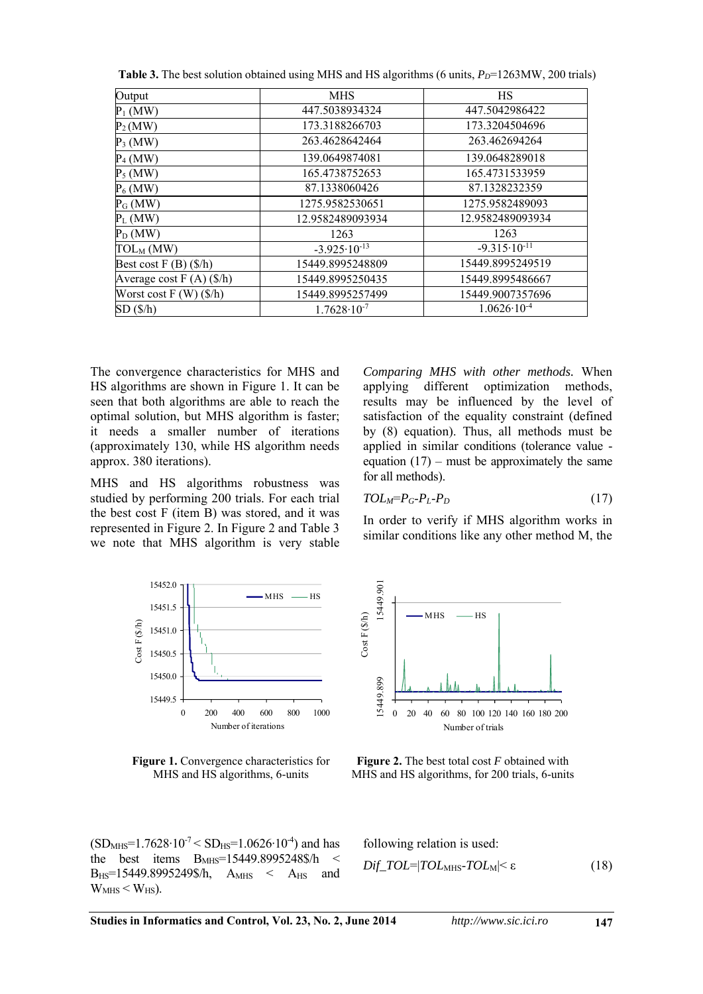| Output                           | <b>MHS</b>              | HS                      |
|----------------------------------|-------------------------|-------------------------|
| $P_1$ (MW)                       | 447.5038934324          | 447.5042986422          |
| $P_2(MW)$                        | 173.3188266703          | 173.3204504696          |
| $P_3$ (MW)                       | 263.4628642464          | 263.462694264           |
| $P_4$ (MW)                       | 139.0649874081          | 139.0648289018          |
| $P_5$ (MW)                       | 165.4738752653          | 165.4731533959          |
| $P_6$ (MW)                       | 87.1338060426           | 87.1328232359           |
| $P_G(MW)$                        | 1275.9582530651         | 1275.9582489093         |
| $P_L$ (MW)                       | 12.9582489093934        | 12.9582489093934        |
| $P_D(MW)$                        | 1263                    | 1263                    |
| $\text{TOL}_\text{M}$ (MW)       | $-3.925 \cdot 10^{-13}$ | $-9.315 \cdot 10^{-11}$ |
| Best cost $F(B)(\frac{6}{h})$    | 15449.8995248809        | 15449.8995249519        |
| Average cost $F(A)(\frac{6}{h})$ | 15449.8995250435        | 15449.8995486667        |
| Worst cost $F(W)(\frac{6}{h})$   | 15449.8995257499        | 15449.9007357696        |
| SD(S/h)                          | $1.7628 \cdot 10^{-7}$  | $1.0626 \cdot 10^{-4}$  |

**Table 3.** The best solution obtained using MHS and HS algorithms (6 units,  $P_D$ =1263MW, 200 trials)

The convergence characteristics for MHS and HS algorithms are shown in Figure 1. It can be seen that both algorithms are able to reach the optimal solution, but MHS algorithm is faster; it needs a smaller number of iterations (approximately 130, while HS algorithm needs approx. 380 iterations).

MHS and HS algorithms robustness was studied by performing 200 trials. For each trial the best cost F (item B) was stored, and it was represented in Figure 2. In Figure 2 and Table 3 we note that MHS algorithm is very stable *Comparing MHS with other methods.* When applying different optimization methods, results may be influenced by the level of satisfaction of the equality constraint (defined by (8) equation). Thus, all methods must be applied in similar conditions (tolerance value equation  $(17)$  – must be approximately the same for all methods).

$$
TOL_M=P_G-P_L-P_D \tag{17}
$$

In order to verify if MHS algorithm works in similar conditions like any other method M, the



**Figure 1.** Convergence characteristics for MHS and HS algorithms, 6-units

 $(SD_{MHS}=1.7628 \cdot 10^{-7} < SD_{HS}=1.0626 \cdot 10^{-4})$  and has the best items B<sub>MHS</sub>=15449.8995248\$/h < B<sub>HS</sub>=15449.8995249\$/h, A<sub>MHS</sub> < A<sub>HS</sub> and  $W<sub>MHS</sub> < W<sub>HS</sub>$ ).



**Figure 2.** The best total cost *F* obtained with MHS and HS algorithms, for 200 trials, 6-units

following relation is used:

$$
Dif\_TOL=|TOL_{\text{MHS}}-TOL_{\text{M}}|<\varepsilon
$$
\n(18)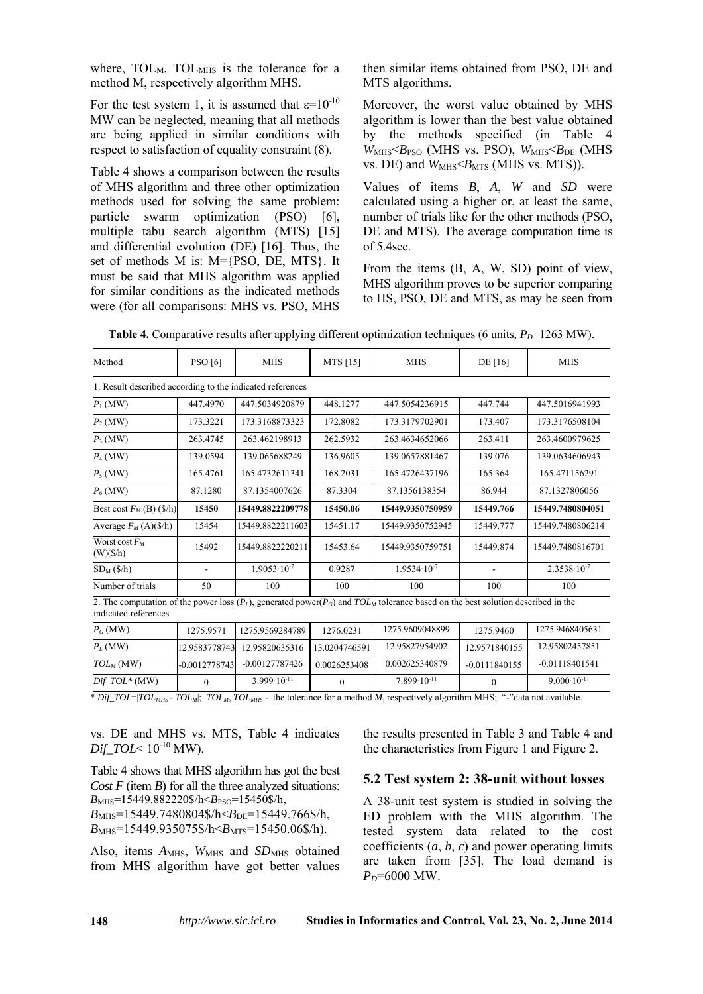where,  $TOL<sub>M</sub>$ ,  $TOL<sub>MHS</sub>$  is the tolerance for a method M, respectively algorithm MHS.

For the test system 1, it is assumed that  $\varepsilon=10^{-10}$ MW can be neglected, meaning that all methods are being applied in similar conditions with respect to satisfaction of equality constraint (8).

Table 4 shows a comparison between the results of MHS algorithm and three other optimization methods used for solving the same problem: particle swarm optimization (PSO) [6], multiple tabu search algorithm (MTS) [15] and differential evolution (DE) [16]. Thus, the set of methods M is: M={PSO, DE, MTS}. It must be said that MHS algorithm was applied for similar conditions as the indicated methods were (for all comparisons: MHS vs. PSO, MHS

then similar items obtained from PSO, DE and MTS algorithms.

Moreover, the worst value obtained by MHS algorithm is lower than the best value obtained by the methods specified (in Table 4  $W_{\text{MHS}} \leq B_{\text{PSO}}$  (MHS vs. PSO),  $W_{\text{MHS}} \leq B_{\text{DE}}$  (MHS vs. DE) and  $W<sub>MHS</sub> < B<sub>MTS</sub>$  (MHS vs. MTS)).

Values of items *B*, *A*, *W* and *SD* were calculated using a higher or, at least the same, number of trials like for the other methods (PSO, DE and MTS). The average computation time is of 5.4sec.

From the items (B, A, W, SD) point of view, MHS algorithm proves to be superior comparing to HS, PSO, DE and MTS, as may be seen from

| Method                                                                                                                                                            | PSO[6]          | <b>MHS</b>             | MTS [15]      | <b>MHS</b>             | DE $[16]$       | <b>MHS</b>             |  |  |  |  |
|-------------------------------------------------------------------------------------------------------------------------------------------------------------------|-----------------|------------------------|---------------|------------------------|-----------------|------------------------|--|--|--|--|
| 1. Result described according to the indicated references                                                                                                         |                 |                        |               |                        |                 |                        |  |  |  |  |
| $P_1$ (MW)                                                                                                                                                        | 447.4970        | 447.5034920879         | 448.1277      | 447.5054236915         | 447.744         | 447.5016941993         |  |  |  |  |
| $P_2(MW)$                                                                                                                                                         | 173.3221        | 173.3168873323         | 172.8082      | 173.3179702901         | 173.407         | 173.3176508104         |  |  |  |  |
| $P_3$ (MW)                                                                                                                                                        | 263.4745        | 263.462198913          | 262.5932      | 263.4634652066         | 263.411         | 263.4600979625         |  |  |  |  |
| $P_4$ (MW)                                                                                                                                                        | 139.0594        | 139.065688249          | 136.9605      | 139.0657881467         | 139.076         | 139.0634606943         |  |  |  |  |
| $P_5$ (MW)                                                                                                                                                        | 165.4761        | 165.4732611341         | 168.2031      | 165.4726437196         | 165.364         | 165.471156291          |  |  |  |  |
| $P_6$ (MW)                                                                                                                                                        | 87.1280         | 87.1354007626          | 87.3304       | 87.1356138354          | 86.944          | 87.1327806056          |  |  |  |  |
| Best cost $F_M$ (B) (\$/h)                                                                                                                                        | 15450           | 15449.8822209778       | 15450.06      | 15449.9350750959       | 15449.766       | 15449.7480804051       |  |  |  |  |
| Average $F_M(A)(\frac{6}{h})$                                                                                                                                     | 15454           | 15449.8822211603       | 15451.17      | 15449.9350752945       | 15449.777       | 15449.7480806214       |  |  |  |  |
| Worst cost $F_M$<br>$(W)(\frac{f}{h})$                                                                                                                            | 15492           | 15449.8822220211       | 15453.64      | 15449.9350759751       | 15449.874       | 15449.7480816701       |  |  |  |  |
| $SD_M(S/h)$                                                                                                                                                       | $\overline{a}$  | $1.9053 \cdot 10^{-7}$ | 0.9287        | $1.9534 \cdot 10^{-7}$ | ÷               | $2.3538 \cdot 10^{-7}$ |  |  |  |  |
| Number of trials                                                                                                                                                  | 50              | 100                    | 100           | 100                    | 100             | 100                    |  |  |  |  |
| 2. The computation of the power loss $(P_L)$ , generated power( $P_G$ ) and $TOL_M$ tolerance based on the best solution described in the<br>indicated references |                 |                        |               |                        |                 |                        |  |  |  |  |
| $P_G(MW)$                                                                                                                                                         | 1275.9571       | 1275.9569284789        | 1276.0231     | 1275.9609048899        | 1275.9460       | 1275.9468405631        |  |  |  |  |
| $P_L$ (MW)                                                                                                                                                        | 12.9583778743   | 12.95820635316         | 13.0204746591 | 12.95827954902         | 12.9571840155   | 12.95802457851         |  |  |  |  |
| $TOL_{M}$ (MW)                                                                                                                                                    | $-0.0012778743$ | $-0.00127787426$       | 0.0026253408  | 0.002625340879         | $-0.0111840155$ | $-0.01118401541$       |  |  |  |  |
| $Dif\_TOL^*(MW)$                                                                                                                                                  | $\mathbf{0}$    | $3.999 \cdot 10^{-11}$ | $\mathbf{0}$  | $7.899 \cdot 10^{-11}$ | $\mathbf{0}$    | $9.000 \cdot 10^{-11}$ |  |  |  |  |

**Table 4.** Comparative results after applying different optimization techniques (6 units,  $P_D$ =1263 MW).

\* *Dif\_TOL*=|*TOLMHS* - *TOLM*|; *TOLM*, *TOLMHS* - the tolerance for a method *M*, respectively algorithm MHS; "-"data not available.

vs. DE and MHS vs. MTS, Table 4 indicates *Dif\_TOL*<  $10^{-10}$  MW).

Table 4 shows that MHS algorithm has got the best *Cost F* (item *B*) for all the three analyzed situations: *B*<sub>MHS</sub>=15449.882220\$/h<*B*<sub>PSO</sub>=15450\$/h,  $B_{\text{MHS}}$ =15449.7480804\$/h< $B_{\text{DE}}$ =15449.766\$/h,

*B*<sub>MHS</sub>=15449.935075\$/h<*B*<sub>MTS</sub>=15450.06\$/h).

Also, items  $A_{MHS}$ ,  $W_{MHS}$  and  $SD_{MHS}$  obtained from MHS algorithm have got better values the results presented in Table 3 and Table 4 and the characteristics from Figure 1 and Figure 2.

#### **5.2 Test system 2: 38-unit without losses**

A 38-unit test system is studied in solving the ED problem with the MHS algorithm. The tested system data related to the cost coefficients  $(a, b, c)$  and power operating limits are taken from [35]. The load demand is *PD*=6000 MW.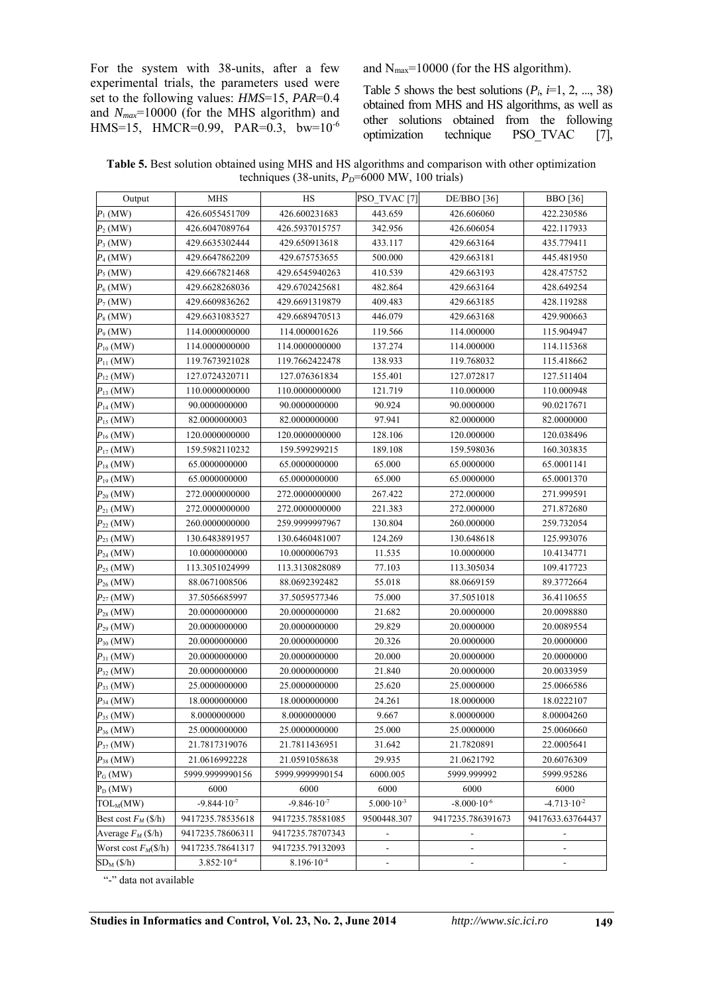For the system with 38-units, after a few experimental trials, the parameters used were set to the following values: *HMS*=15, *PAR*=0.4 and *Nmax*=10000 (for the MHS algorithm) and HMS=15, HMCR=0.99, PAR=0.3, bw=10-6 and  $N_{\text{max}}$ =10000 (for the HS algorithm).

Table 5 shows the best solutions  $(P_i, i=1, 2, ..., 38)$ obtained from MHS and HS algorithms, as well as other solutions obtained from the following optimization technique PSO\_TVAC [7],

| Table 5. Best solution obtained using MHS and HS algorithms and comparison with other optimization |
|----------------------------------------------------------------------------------------------------|
| techniques (38-units, $P_D$ =6000 MW, 100 trials)                                                  |

| Output                             | <b>MHS</b>             | HS                     | PSO_TVAC <sup>[7]</sup>      | $DE/BBO$ [36]          | <b>BBO</b> [36]          |
|------------------------------------|------------------------|------------------------|------------------------------|------------------------|--------------------------|
| 426.6055451709<br>$P_1$ (MW)       |                        | 426.600231683          | 443.659                      | 426.606060             | 422.230586               |
| $P_2$ (MW)                         | 426.6047089764         | 426.5937015757         | 342.956                      | 426.606054             | 422.117933               |
| $P_3$ (MW)                         | 429.6635302444         | 429.650913618          | 433.117                      | 429.663164             | 435.779411               |
| $P_4$ (MW)                         | 429.6647862209         | 429.675753655          | 500.000                      | 429.663181             | 445.481950               |
| $P_5$ (MW)                         | 429.6667821468         | 429.6545940263         | 410.539                      | 429.663193             | 428.475752               |
| $P_6$ (MW)                         | 429.6628268036         | 429.6702425681         | 482.864                      | 429.663164             | 428.649254               |
| $P_7(MW)$                          | 429.6609836262         | 429.6691319879         | 409.483                      | 429.663185             | 428.119288               |
| $P_8$ (MW)                         | 429.6631083527         | 429.6689470513         | 446.079                      | 429.663168             | 429.900663               |
| $P_9$ (MW)                         | 114.0000000000         | 114.000001626          | 119.566                      | 114.000000             | 115.904947               |
| ${P}_{10}\left( \text{MW} \right)$ | 114.0000000000         | 114.0000000000         | 137.274                      | 114.000000             | 114.115368               |
| $P_{11}$ (MW)                      | 119.7673921028         | 119.7662422478         | 138.933                      | 119.768032             | 115.418662               |
| $P_{12}$ (MW)                      | 127.0724320711         | 127.076361834          | 155.401                      | 127.072817             | 127.511404               |
| $P_{13}$ (MW)                      | 110.0000000000         | 110.0000000000         | 121.719                      | 110.000000             | 110.000948               |
| $P_{14}$ (MW)                      | 90.0000000000          | 90.0000000000          | 90.924                       | 90.0000000             | 90.0217671               |
| $P_{15}$ (MW)                      | 82.0000000003          | 82.0000000000          | 97.941                       | 82.0000000             | 82.0000000               |
| $P_{16}$ (MW)                      | 120.0000000000         | 120.0000000000         | 128.106                      | 120.000000             | 120.038496               |
| $P_{17}$ (MW)                      | 159.5982110232         | 159.599299215          | 189.108                      | 159.598036             | 160.303835               |
| $P_{18}$ (MW)                      | 65.0000000000          | 65.0000000000          | 65.000                       | 65.0000000             | 65.0001141               |
| $P_{19}$ (MW)                      | 65.0000000000          | 65.0000000000          | 65.000                       | 65.0000000             | 65.0001370               |
| $P_{20}$ (MW)                      | 272.0000000000         | 272.0000000000         | 267.422                      | 272.000000             | 271.999591               |
| $P_{21}$ (MW)                      | 272.0000000000         | 272.0000000000         | 221.383                      | 272.000000             | 271.872680               |
| $P_{22}$ (MW)                      | 260.0000000000         | 259.9999997967         | 130.804                      | 260.000000             | 259.732054               |
| $P_{23}$ (MW)                      | 130.6483891957         | 130.6460481007         | 124.269                      | 130.648618             | 125.993076               |
| $P_{24}$ (MW)                      | 10.0000000000          | 10.0000006793          | 11.535                       | 10.0000000             | 10.4134771               |
| $P_{25}$ (MW)                      | 113.3051024999         | 113.3130828089         | 77.103                       | 113.305034             | 109.417723               |
| $P_{26}$ (MW)                      | 88.0671008506          | 88.0692392482          | 55.018                       | 88.0669159             | 89.3772664               |
| $P_{27}$ (MW)                      | 37.5056685997          | 37.5059577346          | 75.000                       | 37.5051018             | 36.4110655               |
| $P_{28}$ (MW)                      | 20.0000000000          | 20.0000000000          | 21.682                       | 20.0000000             | 20.0098880               |
| $P_{29}$ (MW)                      | 20.0000000000          | 20.0000000000          | 29.829                       | 20.0000000             | 20.0089554               |
| $P_{30}$ (MW)                      | 20.0000000000          | 20.0000000000          | 20.326                       | 20.0000000             | 20.0000000               |
| $P_{31}$ (MW)                      | 20.0000000000          | 20.0000000000          | 20.000                       | 20.0000000             | 20.0000000               |
| $P_{32}$ (MW)                      | 20.0000000000          | 20.0000000000          | 21.840                       | 20.0000000             | 20.0033959               |
| $P_{33}$ (MW)                      | 25.0000000000          | 25.0000000000          | 25.620                       | 25.0000000             | 25.0066586               |
| $P_{34}$ (MW)                      | 18.0000000000          | 18.0000000000          | 24.261                       | 18.0000000             | 18.0222107               |
| $P_{35}$ (MW)                      | 8.0000000000           | 8.0000000000           | 9.667                        | 8.00000000             | 8.00004260               |
| $P_{36}$ (MW)                      | 25.0000000000          | 25.0000000000          | 25.000                       | 25.0000000             | 25.0060660               |
| $P_{37}$ (MW)                      | 21.7817319076          | 21.7811436951          | 31.642                       | 21.7820891             | 22.0005641               |
| $P_{38}$ (MW)                      | 21.0616992228          | 21.0591058638          | 29.935                       | 21.0621792             | 20.6076309               |
| $P_G(MW)$                          | 5999.9999990156        | 5999.9999990154        | 6000.005                     | 5999.999992            | 5999.95286               |
| $P_D(MW)$                          | 6000                   | 6000                   | 6000                         | 6000                   | 6000                     |
| $TOL_M(MW)$                        | $-9.844 \cdot 10^{-7}$ | $-9.846 \cdot 10^{-7}$ | $5.000 \cdot 10^{-3}$        | $-8.000 \cdot 10^{-6}$ | $-4.713 \cdot 10^{-2}$   |
| Best cost $F_M$ (\$/h)             | 9417235.78535618       | 9417235.78581085       | 9500448.307                  | 9417235.786391673      | 9417633.63764437         |
| Average $F_M$ (\$/h)               | 9417235.78606311       | 9417235.78707343       |                              |                        |                          |
| Worst cost $F_M(\frac{6}{h})$      | 9417235.78641317       | 9417235.79132093       | $\qquad \qquad \blacksquare$ | $\overline{a}$         | $\overline{\phantom{a}}$ |
| $SD_M(S/h)$                        | $3.852 \cdot 10^{-4}$  | $8.196 \cdot 10^{-4}$  | $\overline{\phantom{m}}$     |                        | -                        |

"-" data not available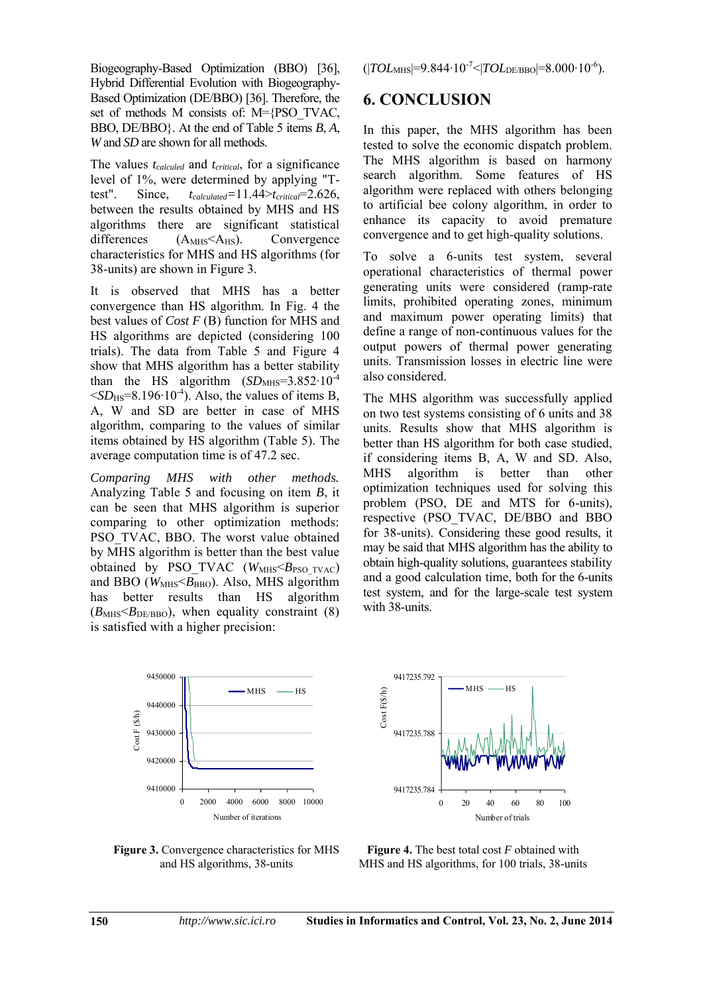Biogeography-Based Optimization (BBO) [36], Hybrid Differential Evolution with Biogeography-Based Optimization (DE/BBO) [36]. Therefore, the set of methods M consists of: M={PSO\_TVAC, BBO, DE/BBO}. At the end of Table 5 items *B*, *A*, *W* and *SD* are shown for all methods.

The values *tcalculed* and *tcritical*, for a significance level of 1%, were determined by applying "Ttest". Since, *tcalculated=*11.44>*tcritical*=2.626, between the results obtained by MHS and HS algorithms there are significant statistical differences  $(A<sub>MHS</sub> < A<sub>HS</sub>)$ . Convergence characteristics for MHS and HS algorithms (for 38-units) are shown in Figure 3.

It is observed that MHS has a better convergence than HS algorithm. In Fig. 4 the best values of *Cost F* (B) function for MHS and HS algorithms are depicted (considering 100 trials). The data from Table 5 and Figure 4 show that MHS algorithm has a better stability than the HS algorithm  $(SD_{\text{MHS}}=3.852 \cdot 10^{-4}$  $\leq$ *SD*<sub>HS</sub>=8.196⋅10<sup>-4</sup>). Also, the values of items B, A, W and SD are better in case of MHS algorithm, comparing to the values of similar items obtained by HS algorithm (Table 5). The average computation time is of 47.2 sec.

*Comparing MHS with other methods.*  Analyzing Table 5 and focusing on item *B*, it can be seen that MHS algorithm is superior comparing to other optimization methods: PSO\_TVAC, BBO. The worst value obtained by MHS algorithm is better than the best value obtained by PSO TVAC (*W<sub>MHS</sub>*<*B*<sub>PSO TVAC)</sub> and BBO ( $W_{\text{MHS}}$  $\leq$  $B_{\text{BBO}}$ ). Also, MHS algorithm has better results than HS algorithm  $(B_{\text{MHS}}< B_{\text{DE/BBO}})$ , when equality constraint (8) is satisfied with a higher precision:



**Figure 3.** Convergence characteristics for MHS and HS algorithms, 38-units

(|*TOL*MHS|=9.844∙10-7<|*TOL*DE/BBO|=8.000∙10-6).

## **6. CONCLUSION**

In this paper, the MHS algorithm has been tested to solve the economic dispatch problem. The MHS algorithm is based on harmony search algorithm. Some features of HS algorithm were replaced with others belonging to artificial bee colony algorithm, in order to enhance its capacity to avoid premature convergence and to get high-quality solutions.

To solve a 6-units test system, several operational characteristics of thermal power generating units were considered (ramp-rate limits, prohibited operating zones, minimum and maximum power operating limits) that define a range of non-continuous values for the output powers of thermal power generating units. Transmission losses in electric line were also considered.

The MHS algorithm was successfully applied on two test systems consisting of 6 units and 38 units. Results show that MHS algorithm is better than HS algorithm for both case studied, if considering items B, A, W and SD. Also, MHS algorithm is better than other optimization techniques used for solving this problem (PSO, DE and MTS for 6-units), respective (PSO\_TVAC, DE/BBO and BBO for 38-units). Considering these good results, it may be said that MHS algorithm has the ability to obtain high-quality solutions, guarantees stability and a good calculation time, both for the 6-units test system, and for the large-scale test system with 38-units.



**Figure 4.** The best total cost *F* obtained with MHS and HS algorithms, for 100 trials, 38-units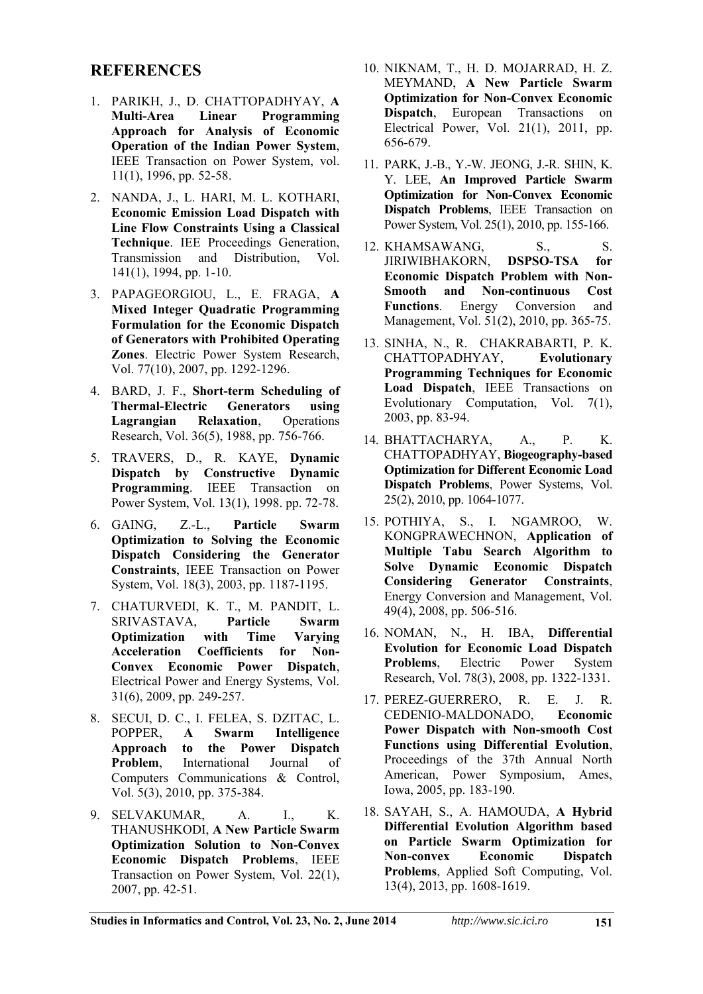## **REFERENCES**

- 1. PARIKH, J., D. CHATTOPADHYAY, **A Multi-Area Linear Programming Approach for Analysis of Economic Operation of the Indian Power System**, IEEE Transaction on Power System, vol. 11(1), 1996, pp. 52-58.
- 2. NANDA, J., L. HARI, M. L. KOTHARI, **Economic Emission Load Dispatch with Line Flow Constraints Using a Classical Technique**. IEE Proceedings Generation, Transmission and Distribution, Vol. 141(1), 1994, pp. 1-10.
- 3. PAPAGEORGIOU, L., E. FRAGA, **A Mixed Integer Quadratic Programming Formulation for the Economic Dispatch of Generators with Prohibited Operating Zones**. Electric Power System Research, Vol. 77(10), 2007, pp. 1292-1296.
- 4. BARD, J. F., **Short-term Scheduling of Thermal-Electric Generators using<br>
Lagrangian Relaxation**, Operations **Lagrangian Relaxation.** Research, Vol. 36(5), 1988, pp. 756-766.
- 5. TRAVERS, D., R. KAYE, **Dynamic Dispatch by Constructive Dynamic Programming**. IEEE Transaction on Power System, Vol. 13(1), 1998. pp. 72-78.
- 6. GAING, Z.-L., **Particle Swarm Optimization to Solving the Economic Dispatch Considering the Generator Constraints**, IEEE Transaction on Power System, Vol. 18(3), 2003, pp. 1187-1195.
- 7. CHATURVEDI, K. T., M. PANDIT, L. SRIVASTAVA, **Particle Swarm Optimization with Time Varying Acceleration Coefficients for Non-Convex Economic Power Dispatch**, Electrical Power and Energy Systems, Vol. 31(6), 2009, pp. 249-257.
- 8. SECUI, D. C., I. FELEA, S. DZITAC, L. POPPER, **A Swarm Intelligence Approach to the Power Dispatch Problem**, International Journal of Computers Communications & Control, Vol. 5(3), 2010, pp. 375-384.
- 9. SELVAKUMAR, A. I., K. THANUSHKODI, **A New Particle Swarm Optimization Solution to Non-Convex Economic Dispatch Problems**, IEEE Transaction on Power System, Vol. 22(1), 2007, pp. 42-51.
- 10. NIKNAM, T., H. D. MOJARRAD, H. Z. MEYMAND, **A New Particle Swarm Optimization for Non-Convex Economic Dispatch**, European Transactions on Electrical Power, Vol. 21(1), 2011, pp. 656-679.
- 11. PARK, J.-B., Y.-W. JEONG, J.-R. SHIN, K. Y. LEE, **An Improved Particle Swarm Optimization for Non-Convex Economic Dispatch Problems**, IEEE Transaction on Power System, Vol. 25(1), 2010, pp. 155-166.
- 12. KHAMSAWANG, S., S. JIRIWIBHAKORN, **DSPSO-TSA for Economic Dispatch Problem with Non-Smooth and Non-continuous Cost Functions**. Energy Conversion and Management, Vol. 51(2), 2010, pp. 365-75.
- 13. SINHA, N., R. CHAKRABARTI, P. K. CHATTOPADHYAY, **Evolutionary Programming Techniques for Economic Load Dispatch**, IEEE Transactions on Evolutionary Computation, Vol. 7(1), 2003, pp. 83-94.
- 14. BHATTACHARYA, A., P. K. CHATTOPADHYAY, **Biogeography-based Optimization for Different Economic Load Dispatch Problems**, Power Systems, Vol. 25(2), 2010, pp. 1064-1077.
- 15. POTHIYA, S., I. NGAMROO, W. KONGPRAWECHNON, **Application of Multiple Tabu Search Algorithm to Solve Dynamic Economic Dispatch Considering Generator Constraints**, Energy Conversion and Management, Vol. 49(4), 2008, pp. 506-516.
- 16. NOMAN, N., H. IBA, **Differential Evolution for Economic Load Dispatch Problems**, Electric Power System Research, Vol. 78(3), 2008, pp. 1322-1331.
- 17. PEREZ-GUERRERO, R. E. J. R. CEDENIO-MALDONADO, **Economic Power Dispatch with Non-smooth Cost Functions using Differential Evolution**, [Proceedings of the 37th Annual North](http://ieeexplore.ieee.org/xpl/mostRecentIssue.jsp?punumber=10440) [American,](http://ieeexplore.ieee.org/xpl/mostRecentIssue.jsp?punumber=10440) Power Symposium, Ames, Iowa, 2005, pp. 183-190.
- 18. SAYAH, S., A. HAMOUDA, **A Hybrid Differential Evolution Algorithm based on Particle Swarm Optimization for Non-convex Economic Dispatch Problems**, Applied Soft Computing, [Vol.](http://www.sciencedirect.com/science/journal/15684946/13/4) [13\(4\)](http://www.sciencedirect.com/science/journal/15684946/13/4), 2013, pp. 1608-1619.